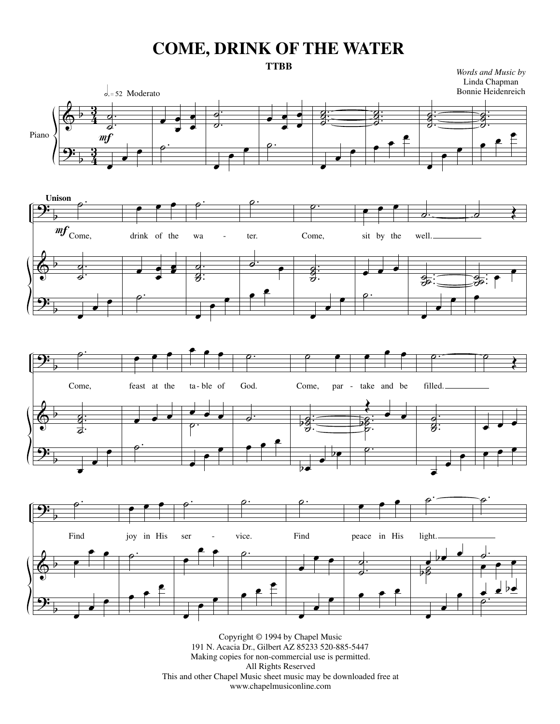## **COME, DRINK OF THE WATER**



Copyright © 1994 by Chapel Music 191 N. Acacia Dr., Gilbert AZ 85233 520-885-5447 Making copies for non-commercial use is permitted. All Rights Reserved This and other Chapel Music sheet music may be downloaded free at www.chapelmusiconline.com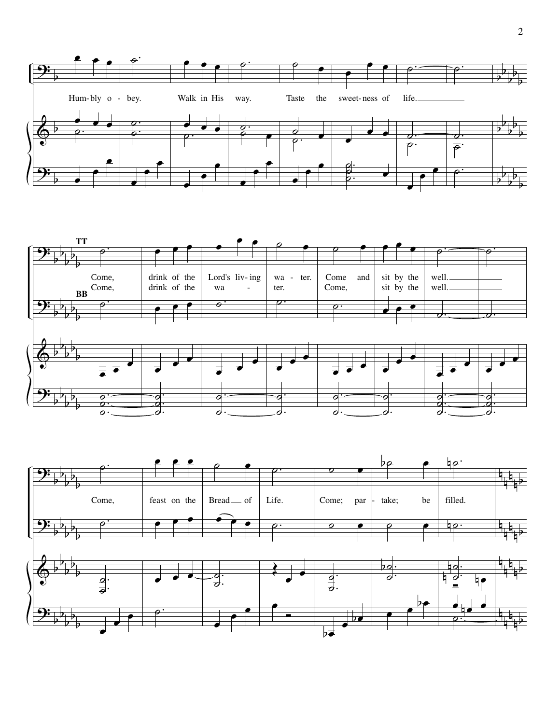